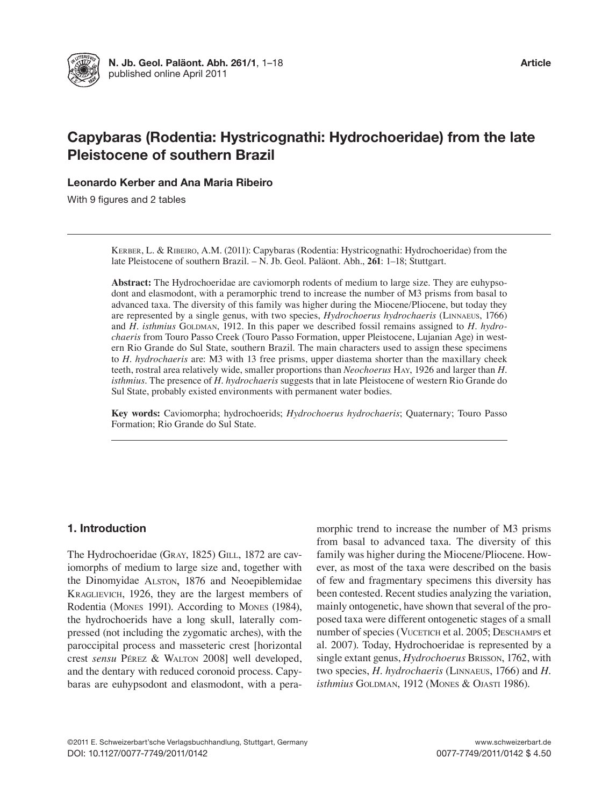

# Capybaras (Rodentia: Hystricognathi: Hydrochoeridae) from the late Pleistocene of southern Brazil

Leonardo Kerber and Ana Maria Ribeiro

With 9 figures and 2 tables

KERBER, L. & RIBEIRO, A.M. (2011): Capybaras (Rodentia: Hystricognathi: Hydrochoeridae) from the late Pleistocene of southern Brazil. – N. Jb. Geol. Paläont. Abh., **261**: 1–18; Stuttgart.

**Abstract:** The Hydrochoeridae are caviomorph rodents of medium to large size. They are euhypsodont and elasmodont, with a peramorphic trend to increase the number of M3 prisms from basal to advanced taxa. The diversity of this family was higher during the Miocene/Pliocene, but today they are represented by a single genus, with two species, *Hydrochoerus hydrochaeris* (Linnaeus, 1766) and *H. isthmius* GOLDMAN, 1912. In this paper we described fossil remains assigned to *H. hydrochaeris* from Touro Passo Creek (Touro Passo Formation, upper Pleistocene, Lujanian Age) in western Rio Grande do Sul State, southern Brazil. The main characters used to assign these specimens to *H. hydrochaeris* are: M3 with 13 free prisms, upper diastema shorter than the maxillary cheek teeth, rostral area relatively wide, smaller proportions than *Neochoerus* Hay, 1926 and larger than *H. isthmius*. The presence of *H. hydrochaeris* suggests that in late Pleistocene of western Rio Grande do Sul State, probably existed environments with permanent water bodies.

**Key words:** Caviomorpha; hydrochoerids; *Hydrochoerus hydrochaeris*; Quaternary; Touro Passo Formation; Rio Grande do Sul State.

# 1. Introduction

The Hydrochoeridae (Gray, 1825) GiLL, 1872 are caviomorphs of medium to large size and, together with the Dinomyidae ALSTON, 1876 and Neoepiblemidae KraGLievicH, 1926, they are the largest members of Rodentia (Mones 1991). According to Mones (1984), the hydrochoerids have a long skull, laterally compressed (not including the zygomatic arches), with the paroccipital process and masseteric crest [horizontal crest *sensu* Pérez & WaLton 2008] well developed, and the dentary with reduced coronoid process. Capybaras are euhypsodont and elasmodont, with a peramorphic trend to increase the number of M3 prisms from basal to advanced taxa. The diversity of this family was higher during the Miocene/Pliocene. However, as most of the taxa were described on the basis of few and fragmentary specimens this diversity has been contested. Recent studies analyzing the variation, mainly ontogenetic, have shown that several of the proposed taxa were different ontogenetic stages of a small number of species (VUCETICH et al. 2005; DESCHAMPS et al. 2007). Today, Hydrochoeridae is represented by a single extant genus, *Hydrochoerus* Brisson, 1762, with two species, *H. hydrochaeris* (Linnaeus, 1766) and *H. isthmius* GOLDMAN, 1912 (MONES & OJASTI 1986).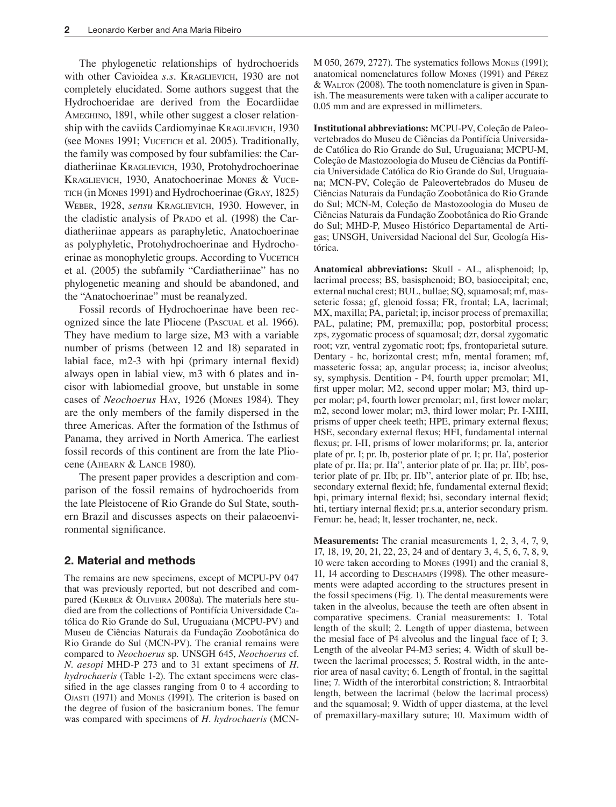The phylogenetic relationships of hydrochoerids with other Cavioidea *s.s.* KraGLievicH, 1930 are not completely elucidated. Some authors suggest that the Hydrochoeridae are derived from the Eocardiidae AMEGHINO, 1891, while other suggest a closer relationship with the caviids Cardiomyinae KRAGLIEVICH, 1930 (see Mones 1991; VUCETICH et al. 2005). Traditionally, the family was composed by four subfamilies: the Cardiatheriinae KraGLievicH, 1930, Protohydrochoerinae KRAGLIEVICH, 1930, Anatochoerinae MONES & VUCE-TICH (in MONES 1991) and Hydrochoerinae (GRAY, 1825) Weber, 1928, *sensu* KraGLievicH, 1930. However, in the cladistic analysis of PRADO et al. (1998) the Cardiatheriinae appears as paraphyletic, Anatochoerinae as polyphyletic, Protohydrochoerinae and Hydrochoerinae as monophyletic groups. According to VUCETICH et al. (2005) the subfamily "Cardiatheriinae" has no phylogenetic meaning and should be abandoned, and the "Anatochoerinae" must be reanalyzed.

Fossil records of Hydrochoerinae have been recognized since the late Pliocene (PascuaL et al. 1966). They have medium to large size, M3 with a variable number of prisms (between 12 and 18) separated in labial face,  $m2-3$  with hpi (primary internal flexid) always open in labial view, m3 with 6 plates and incisor with labiomedial groove, but unstable in some cases of *Neochoerus* Hay, 1926 (mones 1984). They are the only members of the family dispersed in the three Americas. After the formation of the Isthmus of Panama, they arrived in North America. The earliest fossil records of this continent are from the late Pliocene (AHEARN & LANCE 1980).

The present paper provides a description and comparison of the fossil remains of hydrochoerids from the late Pleistocene of Rio Grande do Sul State, southern Brazil and discusses aspects on their palaeoenvironmental significance.

# 2. Material and methods

The remains are new specimens, except of MCPU-PV 047 that was previously reported, but not described and compared (KERBER & OLIVEIRA 2008a). The materials here studied are from the collections of Pontifícia Universidade Católica do Rio Grande do Sul, Uruguaiana (MCPU-PV) and Museu de Ciências Naturais da Fundação Zoobotânica do Rio Grande do Sul (MCN-PV). The cranial remains were compared to *Neochoerus* sp. UNSGH 645, *Neochoerus* cf. *N. aesopi* MHD-P 273 and to 31 extant specimens of *H. hydrochaeris* (Table 1-2). The extant specimens were classified in the age classes ranging from 0 to 4 according to OJASTI (1971) and MONES (1991). The criterion is based on the degree of fusion of the basicranium bones. The femur was compared with specimens of *H. hydrochaeris* (MCN-

M 050, 2679, 2727). The systematics follows mones (1991); anatomical nomenclatures follow mones (1991) and Pérez & WaLton (2008). The tooth nomenclature is given in Spanish. The measurements were taken with a caliper accurate to 0.05 mm and are expressed in millimeters.

**Institutional abbreviations:** MCPU-PV, Coleção de Paleovertebrados do Museu de Ciências da Pontifícia Universidade Católica do Rio Grande do Sul, Uruguaiana; MCPU-M, Coleção de Mastozoologia do Museu de Ciências da Pontifícia Universidade Católica do Rio Grande do Sul, Uruguaiana; MCN-PV, Coleção de Paleovertebrados do Museu de Ciências Naturais da Fundação Zoobotânica do Rio Grande do Sul; MCN-M, Coleção de Mastozoologia do Museu de Ciências Naturais da Fundação Zoobotânica do Rio Grande do Sul; MHD-P, Museo Histórico Departamental de Artigas; UNSGH, Universidad Nacional del Sur, Geología Histórica.

**Anatomical abbreviations:** Skull - AL, alisphenoid; lp, lacrimal process; BS, basisphenoid; BO, basioccipital; enc, external nuchal crest; BUL, bullae; SQ, squamosal; mf, masseteric fossa; gf, glenoid fossa; FR, frontal; LA, lacrimal; MX, maxilla; PA, parietal; ip, incisor process of premaxilla; PAL, palatine; PM, premaxilla; pop, postorbital process; zps, zygomatic process of squamosal; dzr, dorsal zygomatic root; vzr, ventral zygomatic root; fps, frontoparietal suture. Dentary - hc, horizontal crest; mfn, mental foramen; mf, masseteric fossa; ap, angular process; ia, incisor alveolus; sy, symphysis. Dentition - P4, fourth upper premolar; M1, first upper molar; M2, second upper molar; M3, third upper molar; p4, fourth lower premolar; m1, first lower molar; m2, second lower molar; m3, third lower molar; Pr. I-XIII, prisms of upper cheek teeth; HPE, primary external flexus; HSE, secondary external flexus; HFI, fundamental internal flexus; pr. I-II, prisms of lower molariforms; pr. Ia, anterior plate of pr. I; pr. Ib, posterior plate of pr. I; pr. IIa', posterior plate of pr. IIa; pr. IIa'', anterior plate of pr. IIa; pr. IIb', posterior plate of pr. IIb; pr. IIb'', anterior plate of pr. IIb; hse, secondary external flexid; hfe, fundamental external flexid; hpi, primary internal flexid; hsi, secondary internal flexid; hti, tertiary internal flexid; pr.s.a, anterior secondary prism. Femur: he, head; lt, lesser trochanter, ne, neck.

**Measurements:** The cranial measurements 1, 2, 3, 4, 7, 9, 17, 18, 19, 20, 21, 22, 23, 24 and of dentary 3, 4, 5, 6, 7, 8, 9, 10 were taken according to Mones (1991) and the cranial 8, 11, 14 according to DESCHAMPS (1998). The other measurements were adapted according to the structures present in the fossil specimens (Fig. 1). The dental measurements were taken in the alveolus, because the teeth are often absent in comparative specimens. Cranial measurements: 1. Total length of the skull; 2. Length of upper diastema, between the mesial face of P4 alveolus and the lingual face of I; 3. Length of the alveolar P4-M3 series; 4. Width of skull between the lacrimal processes; 5. Rostral width, in the anterior area of nasal cavity; 6. Length of frontal, in the sagittal line; 7. Width of the interorbital constriction; 8. Intraorbital length, between the lacrimal (below the lacrimal process) and the squamosal; 9. Width of upper diastema, at the level of premaxillary-maxillary suture; 10. Maximum width of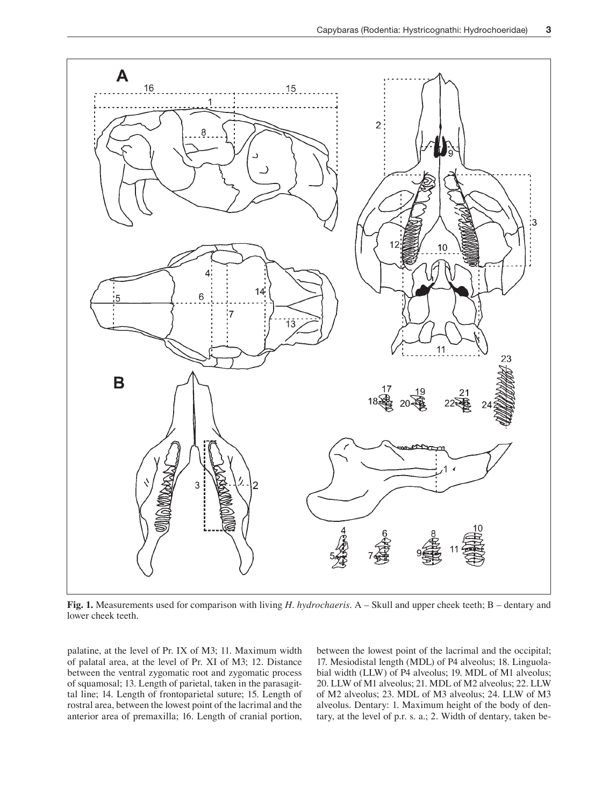

**Fig. 1.** Measurements used for comparison with living *H. hydrochaeris*. A – Skull and upper cheek teeth; B – dentary and lower cheek teeth.

palatine, at the level of Pr. IX of M3; 11. Maximum width of palatal area, at the level of Pr. XI of M3; 12. Distance between the ventral zygomatic root and zygomatic process of squamosal; 13. Length of parietal, taken in the parasagittal line; 14. Length of frontoparietal suture; 15. Length of rostral area, between the lowest point of the lacrimal and the anterior area of premaxilla; 16. Length of cranial portion, between the lowest point of the lacrimal and the occipital; 17. Mesiodistal length (MDL) of P4 alveolus; 18. Linguolabial width (LLW) of P4 alveolus; 19. MDL of M1 alveolus; 20. LLW of M1 alveolus; 21. MDL of M2 alveolus; 22. LLW of M2 alveolus; 23. MDL of M3 alveolus; 24. LLW of M3 alveolus. Dentary: 1. Maximum height of the body of dentary, at the level of p.r. s. a.; 2. Width of dentary, taken be-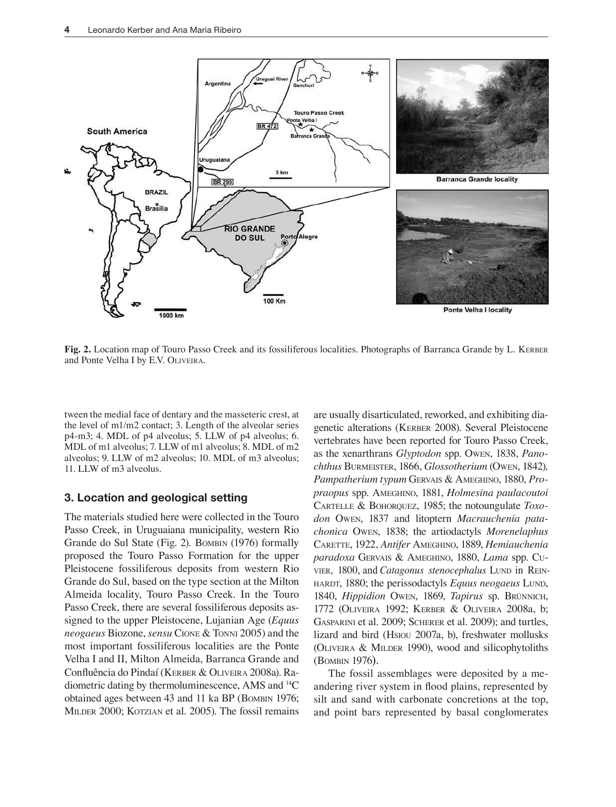

**Fig. 2.** Location map of Touro Passo Creek and its fossiliferous localities. Photographs of Barranca Grande by L. KERBER and Ponte Velha I by E.V. OLIVEIRA.

tween the medial face of dentary and the masseteric crest, at the level of m1/m2 contact; 3. Length of the alveolar series p4-m3; 4. MDL of p4 alveolus; 5. LLW of p4 alveolus; 6. MDL of m1 alveolus; 7. LLW of m1 alveolus; 8. MDL of m2 alveolus; 9. LLW of m2 alveolus; 10. MDL of m3 alveolus; 11. LLW of m3 alveolus.

# 3. Location and geological setting

The materials studied here were collected in the Touro Passo Creek, in Uruguaiana municipality, western Rio Grande do Sul State (Fig. 2). BOMBIN (1976) formally proposed the Touro Passo Formation for the upper Pleistocene fossiliferous deposits from western Rio Grande do Sul, based on the type section at the Milton Almeida locality, Touro Passo Creek. In the Touro Passo Creek, there are several fossiliferous deposits assigned to the upper Pleistocene, Lujanian Age (*Equus neogaeus* Biozone, *sensu* CIONE & TONNI 2005) and the most important fossiliferous localities are the Ponte Velha I and II, Milton Almeida, Barranca Grande and Confluência do Pindaí (KERBER & OLIVEIRA 2008a). Radiometric dating by thermoluminescence, AMS and <sup>14</sup>C obtained ages between 43 and 11 ka BP (BOMBIN 1976; MILDER 2000; KOTZIAN et al. 2005). The fossil remains

are usually disarticulated, reworked, and exhibiting diagenetic alterations (KERBER 2008). Several Pleistocene vertebrates have been reported for Touro Passo Creek, as the xenarthrans *Glyptodon* spp. Owen, 1838, *Panochthus* burmeister, 1866, *Glossotherium* (oWen, 1842)*,* Pampatherium typum GERVAIS & AMEGHINO, 1880, Pro*praopus* spp. ameGHino, 1881, *Holmesina paulacoutoi*  carteLLe & boHorquez, 1985; the notoungulate *Toxo*don Owen, 1837 and litoptern *Macrauchenia patachonica* oWen, 1838; the artiodactyls *Morenelaphus*  carette, 1922, *Antifer* AmeGHino, 1889, *Hemiauchenia paradoxa* Gervais & ameGHino, 1880, *Lama* spp. cuvier, 1800, and *Catagonus stenocephalus* LUND in REIN-Hardt, 1880; the perissodactyls *Equus neogaeus* Lund, 1840, *Hippidion OWEN*, 1869, *Tapirus* sp. BRÜNNICH, 1772 (OLIVEIRA 1992; KERBER & OLIVEIRA 2008a, b; GASPARINI et al. 2009; SCHERER et al. 2009); and turtles, lizard and bird (Hsiou 2007a, b), freshwater mollusks (oLiveira & miLder 1990), wood and silicophytoliths (bombin 1976).

The fossil assemblages were deposited by a meandering river system in flood plains, represented by silt and sand with carbonate concretions at the top, and point bars represented by basal conglomerates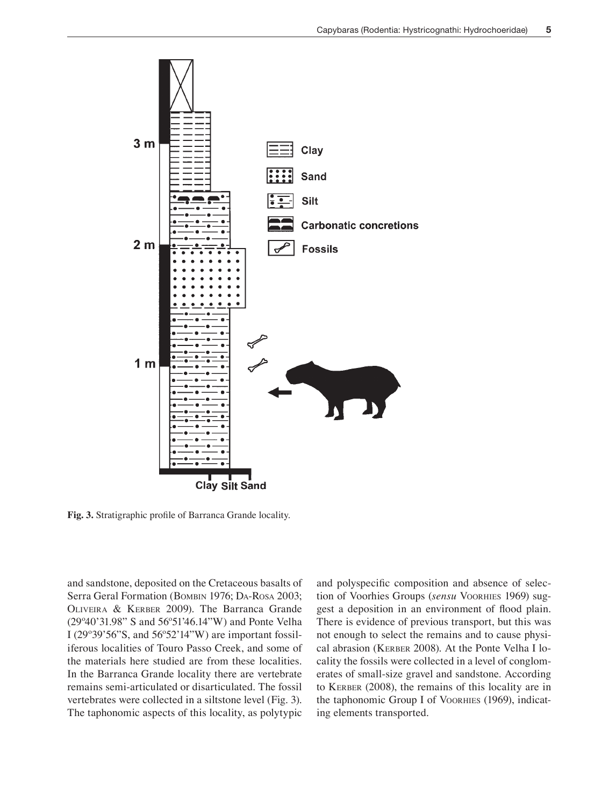

Fig. 3. Stratigraphic profile of Barranca Grande locality.

and sandstone, deposited on the Cretaceous basalts of Serra Geral Formation (BOMBIN 1976; DA-ROSA 2003; oLiveira & Kerber 2009). The Barranca Grande (29º40'31.98" S and 56º51'46.14"W) and Ponte Velha I (29º39'56"S, and 56º52'14"W) are important fossiliferous localities of Touro Passo Creek, and some of the materials here studied are from these localities. In the Barranca Grande locality there are vertebrate remains semi-articulated or disarticulated. The fossil vertebrates were collected in a siltstone level (Fig. 3). The taphonomic aspects of this locality, as polytypic

and polyspecific composition and absence of selection of Voorhies Groups (sensu VOORHIES 1969) suggest a deposition in an environment of lood plain. There is evidence of previous transport, but this was not enough to select the remains and to cause physical abrasion (Kerber 2008). At the Ponte Velha I locality the fossils were collected in a level of conglomerates of small-size gravel and sandstone. According to Kerber (2008), the remains of this locality are in the taphonomic Group I of VOORHIES (1969), indicating elements transported.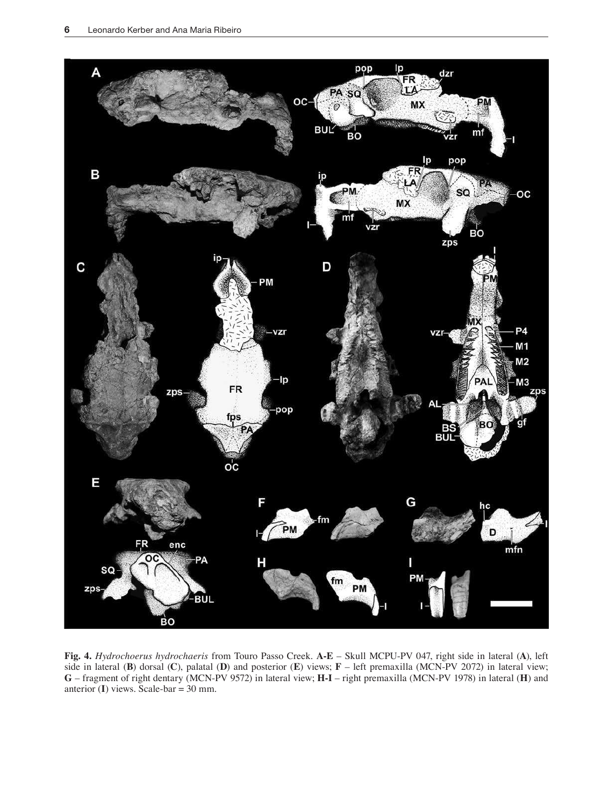

**Fig. 4.** *Hydrochoerus hydrochaeris* from Touro Passo Creek. **A-E** – Skull MCPU-PV 047, right side in lateral (**A**), left side in lateral (**B**) dorsal (**C**), palatal (**D**) and posterior (**E**) views; **F** – left premaxilla (MCN-PV 2072) in lateral view; **G** – fragment of right dentary (MCN-PV 9572) in lateral view; **H-I** – right premaxilla (MCN-PV 1978) in lateral (**H**) and anterior (**I**) views. Scale-bar = 30 mm.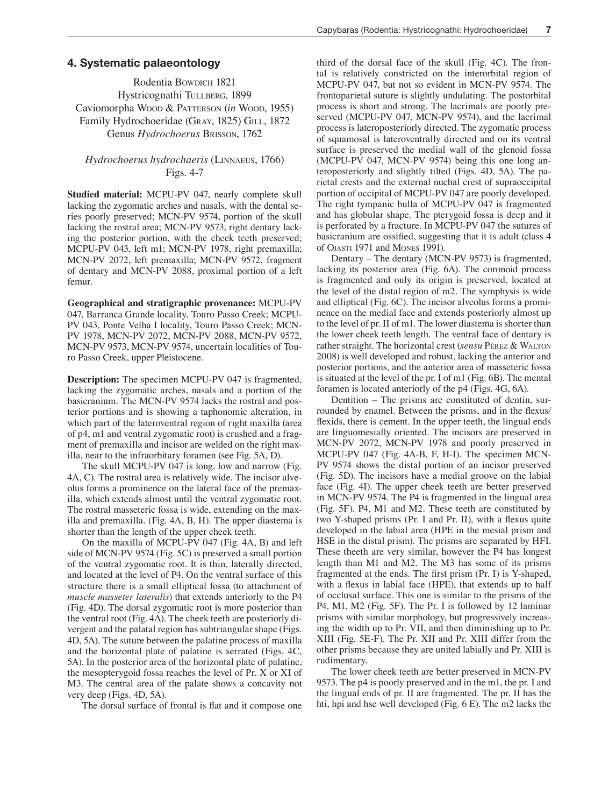## 4. Systematic palaeontology

Rodentia Bowdich 1821 Hystricognathi TULLBERG, 1899 Caviomorpha Wood & Patterson (*in* Wood, 1955) Family Hydrochoeridae (Gray, 1825) GiLL, 1872 Genus *Hydrochoerus* brisson, 1762

# *Hydrochoerus hydrochaeris* (Linnaeus, 1766) Figs. 4-7

**Studied material:** MCPU-PV 047, nearly complete skull lacking the zygomatic arches and nasals, with the dental series poorly preserved; MCN-PV 9574, portion of the skull lacking the rostral area; MCN-PV 9573, right dentary lacking the posterior portion, with the cheek teeth preserved; MCPU-PV 043, left m1; MCN-PV 1978, right premaxilla; MCN-PV 2072, left premaxilla; MCN-PV 9572, fragment of dentary and MCN-PV 2088, proximal portion of a left femur.

**Geographical and stratigraphic provenance:** MCPU-PV 047, Barranca Grande locality, Touro Passo Creek; MCPU-PV 043, Ponte Velha I locality, Touro Passo Creek; MCN-PV 1978, MCN-PV 2072, MCN-PV 2088, MCN-PV 9572, MCN-PV 9573, MCN-PV 9574, uncertain localities of Touro Passo Creek, upper Pleistocene.

**Description:** The specimen MCPU-PV 047 is fragmented, lacking the zygomatic arches, nasals and a portion of the basicranium. The MCN-PV 9574 lacks the rostral and posterior portions and is showing a taphonomic alteration, in which part of the lateroventral region of right maxilla (area of p4, m1 and ventral zygomatic root) is crushed and a fragment of premaxilla and incisor are welded on the right maxilla, near to the infraorbitary foramen (see Fig. 5A, D).

The skull MCPU-PV 047 is long, low and narrow (Fig. 4A, C). The rostral area is relatively wide. The incisor alveolus forms a prominence on the lateral face of the premaxilla, which extends almost until the ventral zygomatic root. The rostral masseteric fossa is wide, extending on the maxilla and premaxilla. (Fig. 4A, B, H). The upper diastema is shorter than the length of the upper cheek teeth.

On the maxilla of MCPU-PV 047 (Fig. 4A, B) and left side of MCN-PV 9574 (Fig. 5C) is preserved a small portion of the ventral zygomatic root. It is thin, laterally directed, and located at the level of P4. On the ventral surface of this structure there is a small elliptical fossa (to attachment of *muscle masseter lateralis*) that extends anteriorly to the P4 (Fig. 4D). The dorsal zygomatic root is more posterior than the ventral root (Fig. 4A). The cheek teeth are posteriorly divergent and the palatal region has subtriangular shape (Figs. 4D, 5A). The suture between the palatine process of maxilla and the horizontal plate of palatine is serrated (Figs. 4C, 5A). In the posterior area of the horizontal plate of palatine, the mesopterygoid fossa reaches the level of Pr. X or XI of M3. The central area of the palate shows a concavity not very deep (Figs. 4D, 5A).

The dorsal surface of frontal is flat and it compose one

third of the dorsal face of the skull (Fig. 4C). The frontal is relatively constricted on the interorbital region of MCPU-PV 047, but not so evident in MCN-PV 9574. The frontoparietal suture is slightly undulating. The postorbital process is short and strong. The lacrimals are poorly preserved (MCPU-PV 047, MCN-PV 9574), and the lacrimal process is lateroposteriorly directed. The zygomatic process of squamosal is lateroventrally directed and on its ventral surface is preserved the medial wall of the glenoid fossa (MCPU-PV 047, MCN-PV 9574) being this one long anteroposteriorly and slightly tilted (Figs. 4D, 5A). The parietal crests and the external nuchal crest of supraoccipital portion of occipital of MCPU-PV 047 are poorly developed. The right tympanic bulla of MCPU-PV 047 is fragmented and has globular shape. The pterygoid fossa is deep and it is perforated by a fracture. In MCPU-PV 047 the sutures of basicranium are ossified, suggesting that it is adult (class 4 of ojasti 1971 and mones 1991).

Dentary – The dentary (MCN-PV 9573) is fragmented, lacking its posterior area (Fig. 6A). The coronoid process is fragmented and only its origin is preserved, located at the level of the distal region of m2. The symphysis is wide and elliptical (Fig. 6C). The incisor alveolus forms a prominence on the medial face and extends posteriorly almost up to the level of pr. II of m1. The lower diastema is shorter than the lower cheek teeth length. The ventral face of dentary is rather straight. The horizontal crest (*sensu* Pérez & WaLton 2008) is well developed and robust, lacking the anterior and posterior portions, and the anterior area of masseteric fossa is situated at the level of the pr. I of m1 (Fig. 6B). The mental foramen is located anteriorly of the p4 (Figs. 4G, 6A).

Dentition – The prisms are constituted of dentin, surrounded by enamel. Between the prisms, and in the flexus/ flexids, there is cement. In the upper teeth, the lingual ends are linguomesially oriented. The incisors are preserved in MCN-PV 2072, MCN-PV 1978 and poorly preserved in MCPU-PV 047 (Fig. 4A-B, F, H-I). The specimen MCN-PV 9574 shows the distal portion of an incisor preserved (Fig. 5D). The incisors have a medial groove on the labial face (Fig. 4I). The upper cheek teeth are better preserved in MCN-PV 9574. The P4 is fragmented in the lingual area (Fig. 5F). P4, M1 and M2. These teeth are constituted by two Y-shaped prisms (Pr. I and Pr. II), with a flexus quite developed in the labial area (HPE in the mesial prism and HSE in the distal prism). The prisms are separated by HFI. These theeth are very similar, however the P4 has longest length than M1 and M2. The M3 has some of its prisms fragmented at the ends. The first prism (Pr. I) is Y-shaped, with a flexus in labial face (HPE), that extends up to half of occlusal surface. This one is similar to the prisms of the P4, M1, M2 (Fig. 5F). The Pr. I is followed by 12 laminar prisms with similar morphology, but progressively increasing the width up to Pr. VII, and then diminishing up to Pr. XIII (Fig. 5E-F). The Pr. XII and Pr. XIII differ from the other prisms because they are united labially and Pr. XIII is rudimentary.

The lower cheek teeth are better preserved in MCN-PV 9573. The p4 is poorly preserved and in the m1, the pr. I and the lingual ends of pr. II are fragmented. The pr. II has the hti, hpi and hse well developed (Fig. 6 E). The m2 lacks the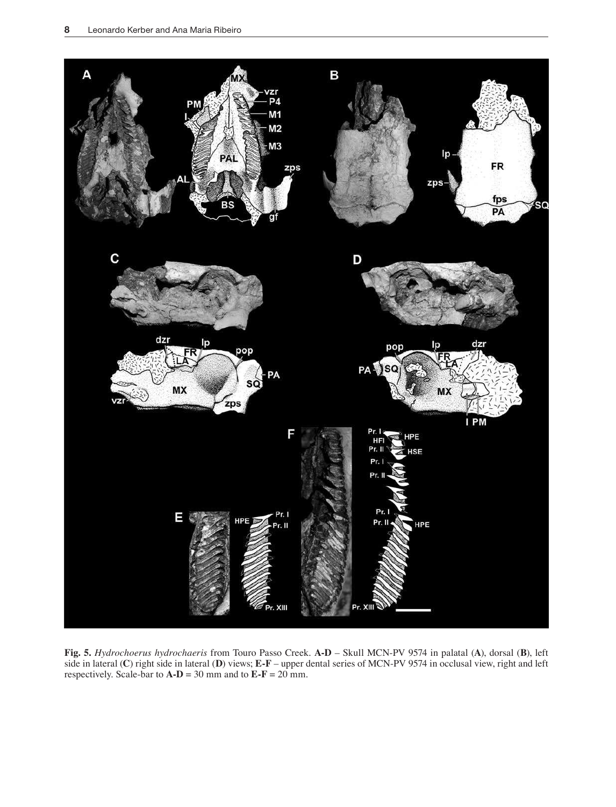

**Fig. 5.** *Hydrochoerus hydrochaeris* from Touro Passo Creek. **A-D** – Skull MCN-PV 9574 in palatal (**A**), dorsal (**B**), left side in lateral (**C**) right side in lateral (**D**) views; **E-F** – upper dental series of MCN-PV 9574 in occlusal view, right and left respectively. Scale-bar to  $\mathbf{A}\text{-}\mathbf{D} = 30$  mm and to  $\mathbf{E}\text{-}\mathbf{F} = 20$  mm.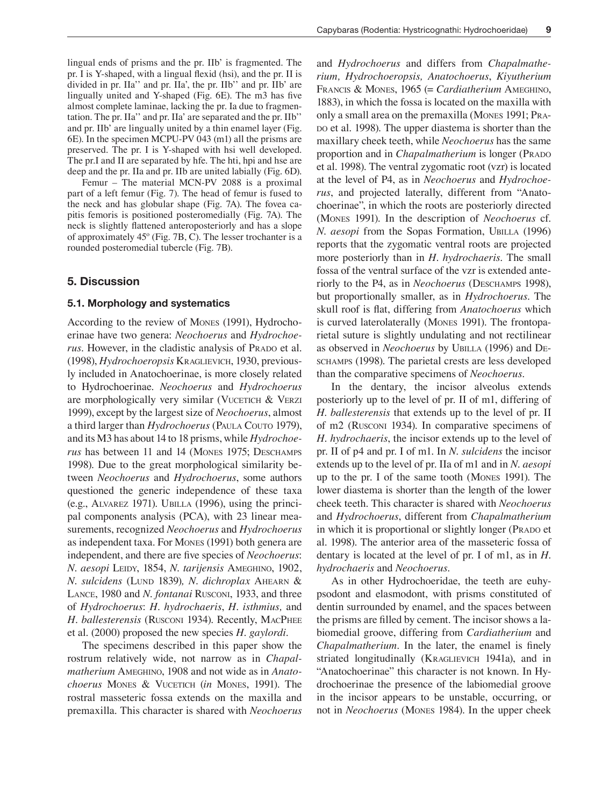lingual ends of prisms and the pr. IIb' is fragmented. The pr. I is Y-shaped, with a lingual flexid (hsi), and the pr. II is divided in pr. IIa'' and pr. IIa', the pr. IIb'' and pr. IIb' are lingually united and Y-shaped (Fig. 6E). The m3 has five almost complete laminae, lacking the pr. Ia due to fragmentation. The pr. IIa'' and pr. IIa' are separated and the pr. IIb'' and pr. IIb' are lingually united by a thin enamel layer (Fig. 6E). In the specimen MCPU-PV 043 (m1) all the prisms are preserved. The pr. I is Y-shaped with hsi well developed. The pr.I and II are separated by hfe. The hti, hpi and hse are deep and the pr. IIa and pr. IIb are united labially (Fig. 6D).

Femur – The material MCN-PV 2088 is a proximal part of a left femur (Fig. 7). The head of femur is fused to the neck and has globular shape (Fig. 7A). The fovea capitis femoris is positioned posteromedially (Fig. 7A). The neck is slightly flattened anteroposteriorly and has a slope of approximately 45º (Fig. 7B, C). The lesser trochanter is a rounded posteromedial tubercle (Fig. 7B).

## 5. Discussion

#### 5.1. Morphology and systematics

According to the review of mones (1991), Hydrochoerinae have two genera: *Neochoerus* and *Hydrochoerus*. However, in the cladistic analysis of PRADO et al. (1998), *Hydrochoeropsis* KraGLievicH, 1930, previously included in Anatochoerinae, is more closely related to Hydrochoerinae. *Neochoerus* and *Hydrochoerus* are morphologically very similar (VUCETICH  $&$  VERZI 1999), except by the largest size of *Neochoerus*, almost a third larger than *Hydrochoerus* (PauLa couto 1979), and its M3 has about 14 to 18 prisms, while *Hydrochoerus* has between 11 and 14 (MONES 1975; DESCHAMPS 1998). Due to the great morphological similarity between *Neochoerus* and *Hydrochoerus*, some authors questioned the generic independence of these taxa (e.g., aLvarez 1971). UbiLLa (1996), using the principal components analysis (PCA), with 23 linear measurements, recognized *Neochoerus* and *Hydrochoerus* as independent taxa. For Mones (1991) both genera are independent, and there are five species of *Neochoerus*:  $N.$  aesopi LEIDY, 1854,  $N.$  *tarijensis* AMEGHINO, 1902, *N. sulcidens* (LUND 1839), *N. dichroplax* AHEARN & LANCE, 1980 and *N. fontanai* Rusconi, 1933, and three of *Hydrochoerus*: *H. hydrochaeris*, *H. isthmius,* and H. ballesterensis (RUSCONI 1934). Recently, MACPHEE et al. (2000) proposed the new species *H. gaylordi*.

The specimens described in this paper show the rostrum relatively wide, not narrow as in *Chapal*matherium AMEGHINO, 1908 and not wide as in *Anatochoerus* Mones & VUCETICH (*in* Mones, 1991). The rostral masseteric fossa extends on the maxilla and premaxilla. This character is shared with *Neochoerus*

and *Hydrochoerus* and differs from *Chapalmatherium, Hydrochoeropsis, Anatochoerus*, *Kiyutherium* FRANCIS & MONES, 1965 (= *Cardiatherium* AMEGHINO, 1883), in which the fossa is located on the maxilla with only a small area on the premaxilla (Mones 1991; PRApo et al. 1998). The upper diastema is shorter than the maxillary cheek teeth, while *Neochoerus* has the same proportion and in *Chapalmatherium* is longer (PRADO) et al. 1998). The ventral zygomatic root (vzr) is located at the level of P4, as in *Neochoerus* and *Hydrochoerus*, and projected laterally, different from "Anatochoerinae", in which the roots are posteriorly directed (mones 1991). In the description of *Neochoerus* cf. *N. aesopi* from the Sopas Formation, UBILLA (1996) reports that the zygomatic ventral roots are projected more posteriorly than in *H. hydrochaeris*. The small fossa of the ventral surface of the vzr is extended anteriorly to the P4, as in *Neochoerus* (DESCHAMPS 1998), but proportionally smaller, as in *Hydrochoerus*. The skull roof is flat, differing from *Anatochoerus* which is curved laterolaterally (Mones 1991). The frontoparietal suture is slightly undulating and not rectilinear as observed in *Neochoerus* by UBILLA (1996) and DEschamps (1998). The parietal crests are less developed than the comparative specimens of *Neochoerus*.

In the dentary, the incisor alveolus extends posteriorly up to the level of pr. II of m1, differing of *H*. *ballesterensis* that extends up to the level of pr. II of m2 (Rusconi 1934). In comparative specimens of *H. hydrochaeris*, the incisor extends up to the level of pr. II of p4 and pr. I of m1. In *N. sulcidens* the incisor extends up to the level of pr. IIa of m1 and in *N. aesopi*  up to the pr. I of the same tooth (Mones 1991). The lower diastema is shorter than the length of the lower cheek teeth. This character is shared with *Neochoerus* and *Hydrochoerus*, different from *Chapalmatherium*  in which it is proportional or slightly longer (PRADO et al. 1998). The anterior area of the masseteric fossa of dentary is located at the level of pr. I of m1, as in *H. hydrochaeris* and *Neochoerus*.

As in other Hydrochoeridae, the teeth are euhypsodont and elasmodont, with prisms constituted of dentin surrounded by enamel, and the spaces between the prisms are filled by cement. The incisor shows a labiomedial groove, differing from *Cardiatherium* and *Chapalmatherium*. In the later, the enamel is finely striated longitudinally (KRAGLIEVICH 1941a), and in "Anatochoerinae" this character is not known. In Hydrochoerinae the presence of the labiomedial groove in the incisor appears to be unstable, occurring, or not in *Neochoerus* (Mones 1984). In the upper cheek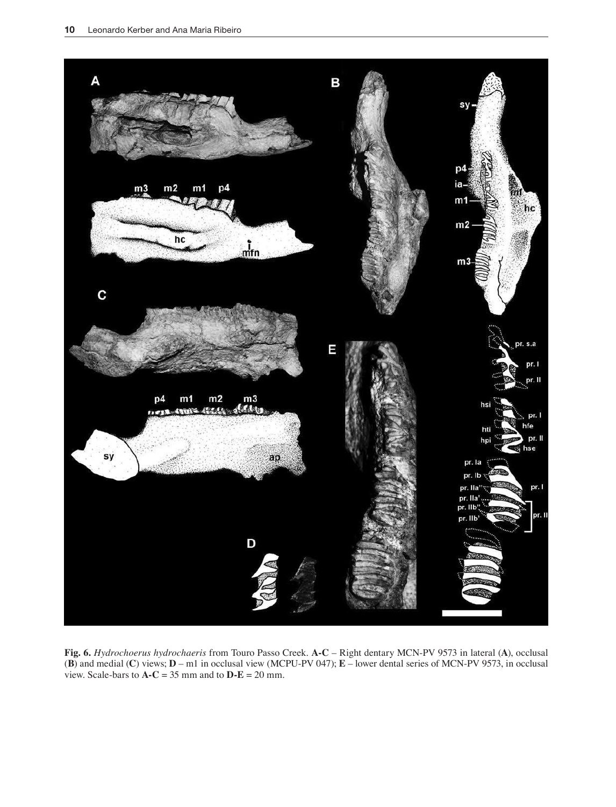

**Fig. 6.** *Hydrochoerus hydrochaeris* from Touro Passo Creek. **A-C** – Right dentary MCN-PV 9573 in lateral (**A**), occlusal (**B**) and medial (**C**) views; **D** – m1 in occlusal view (MCPU-PV 047); **E** – lower dental series of MCN-PV 9573, in occlusal view. Scale-bars to  $A - C = 35$  mm and to  $D - E = 20$  mm.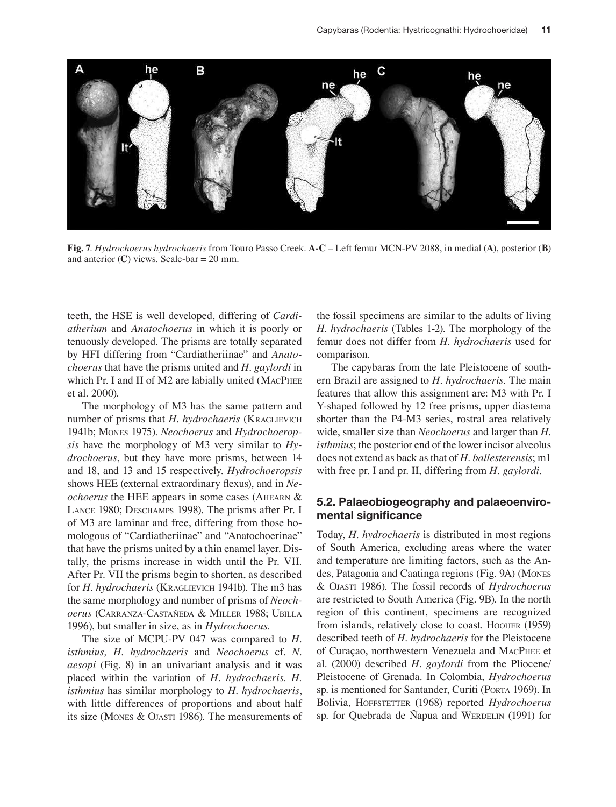

**Fig. 7**. *Hydrochoerus hydrochaeris* from Touro Passo Creek. **A-C** – Left femur MCN-PV 2088, in medial (**A**), posterior (**B**) and anterior  $(C)$  views. Scale-bar = 20 mm.

teeth, the HSE is well developed, differing of *Cardiatherium* and *Anatochoerus* in which it is poorly or tenuously developed. The prisms are totally separated by HFI differing from "Cardiatheriinae" and *Anatochoerus* that have the prisms united and *H. gaylordi* in which Pr. I and II of M2 are labially united (MACPHEE et al. 2000).

The morphology of M3 has the same pattern and number of prisms that *H. hydrochaeris* (KraGLievicH 1941b; mones 1975). *Neochoerus* and *Hydrochoeropsis* have the morphology of M3 very similar to *Hydrochoerus*, but they have more prisms, between 14 and 18, and 13 and 15 respectively. *Hydrochoeropsis* shows HEE (external extraordinary flexus), and in Ne*ochoerus* the HEE appears in some cases (AHEARN & LANCE 1980; DESCHAMPS 1998). The prisms after Pr. I of M3 are laminar and free, differing from those homologous of "Cardiatheriinae" and "Anatochoerinae" that have the prisms united by a thin enamel layer. Distally, the prisms increase in width until the Pr. VII. After Pr. VII the prisms begin to shorten, as described for *H. hydrochaeris* (KRAGLIEVICH 1941b). The m3 has the same morphology and number of prisms of *Neochoerus* (CARRANZA-CASTAÑEDA & MILLER 1988; UBILLA 1996), but smaller in size, as in *Hydrochoerus*.

The size of MCPU-PV 047 was compared to *H. isthmius, H. hydrochaeris* and *Neochoerus* cf. *N. aesopi* (Fig. 8) in an univariant analysis and it was placed within the variation of *H. hydrochaeris. H. isthmius* has similar morphology to *H. hydrochaeris*, with little differences of proportions and about half its size (MONES & OJASTI 1986). The measurements of the fossil specimens are similar to the adults of living *H. hydrochaeris* (Tables 1-2). The morphology of the femur does not differ from *H. hydrochaeris* used for comparison.

The capybaras from the late Pleistocene of southern Brazil are assigned to *H. hydrochaeris*. The main features that allow this assignment are: M3 with Pr. I Y-shaped followed by 12 free prisms, upper diastema shorter than the P4-M3 series, rostral area relatively wide, smaller size than *Neochoerus* and larger than *H. isthmius*; the posterior end of the lower incisor alveolus does not extend as back as that of *H. ballesterensis*; m1 with free pr. I and pr. II, differing from *H. gaylordi*.

# 5.2. Palaeobiogeography and palaeoenviromental significance

Today, *H. hydrochaeris* is distributed in most regions of South America, excluding areas where the water and temperature are limiting factors, such as the Andes, Patagonia and Caatinga regions (Fig. 9A) (Mones & ojasti 1986). The fossil records of *Hydrochoerus* are restricted to South America (Fig. 9B). In the north region of this continent, specimens are recognized from islands, relatively close to coast. Hooner (1959) described teeth of *H*. *hydrochaeris* for the Pleistocene of Curaçao, northwestern Venezuela and MACPHEE et al. (2000) described *H. gaylordi* from the Pliocene/ Pleistocene of Grenada. In Colombia, *Hydrochoerus* sp. is mentioned for Santander, Curiti (PORTA 1969). In Bolivia, HOFFSTETTER (1968) reported *Hydrochoerus* sp. for Quebrada de Ñapua and WERDELIN (1991) for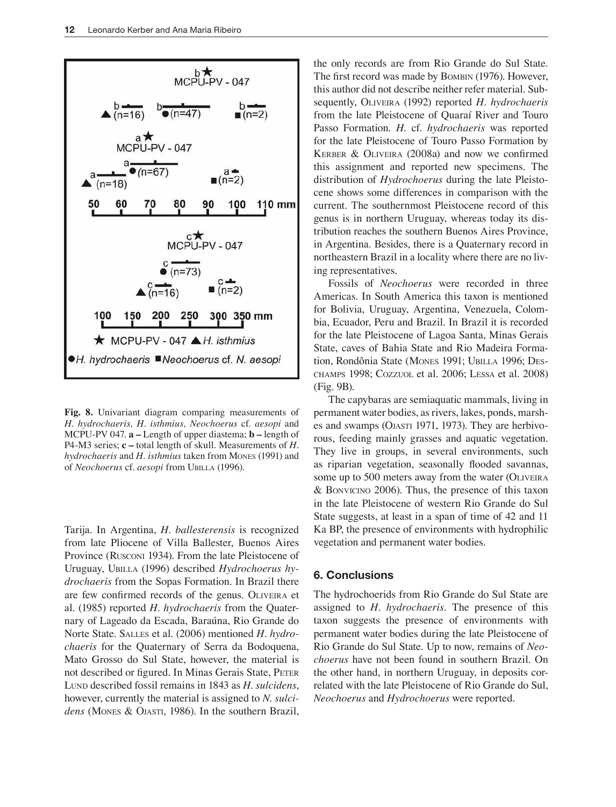

**Fig. 8.** Univariant diagram comparing measurements of *H. hydrochaeris, H. isthmius, Neochoerus* cf. *aesopi* and MCPU-PV 047. **a –** Length of upper diastema; **b –** length of P4-M3 series; **c –** total length of skull. Measurements of *H. hydrochaeris* and *H. isthmius* taken from Mones (1991) and of *Neochoerus* cf. *aesopi* from Ubilla (1996).

Tarija. In Argentina, *H. ballesterensis* is recognized from late Pliocene of Villa Ballester, Buenos Aires Province (Rusconi 1934). From the late Pleistocene of Uruguay, UBILLA (1996) described *Hydrochoerus hydrochaeris* from the Sopas Formation. In Brazil there are few confirmed records of the genus. OLIVEIRA et al. (1985) reported *H. hydrochaeris* from the Quaternary of Lageado da Escada, Baraúna, Rio Grande do Norte State. SALLES et al. (2006) mentioned *H. hydrochaeris* for the Quaternary of Serra da Bodoquena, Mato Grosso do Sul State, however, the material is not described or figured. In Minas Gerais State, PETER Lund described fossil remains in 1843 as *H*. *sulcidens*, however, currently the material is assigned to *N*. *sulci*dens (MONES & OJASTI, 1986). In the southern Brazil,

the only records are from Rio Grande do Sul State. The first record was made by BOMBIN (1976). However, this author did not describe neither refer material. Subsequently, OLIVEIRA (1992) reported *H. hydrochaeris* from the late Pleistocene of Quaraí River and Touro Passo Formation. *H*. cf. *hydrochaeris* was reported for the late Pleistocene of Touro Passo Formation by KERBER & OLIVEIRA (2008a) and now we confirmed this assignment and reported new specimens. The distribution of *Hydrochoerus* during the late Pleistocene shows some differences in comparison with the current. The southernmost Pleistocene record of this genus is in northern Uruguay, whereas today its distribution reaches the southern Buenos Aires Province, in Argentina. Besides, there is a Quaternary record in northeastern Brazil in a locality where there are no living representatives.

Fossils of *Neochoerus* were recorded in three Americas. In South America this taxon is mentioned for Bolivia, Uruguay, Argentina, Venezuela, Colombia, Ecuador, Peru and Brazil. In Brazil it is recorded for the late Pleistocene of Lagoa Santa, Minas Gerais State, caves of Bahia State and Rio Madeira Formation, Rondônia State (MONES 1991; UBILLA 1996; DEScHamPs 1998; cozzuoL et al. 2006; Lessa et al. 2008) (Fig. 9B).

The capybaras are semiaquatic mammals, living in permanent water bodies, as rivers, lakes, ponds, marshes and swamps (OJASTI 1971, 1973). They are herbivorous, feeding mainly grasses and aquatic vegetation. They live in groups, in several environments, such as riparian vegetation, seasonally flooded savannas, some up to 500 meters away from the water (OLIVEIRA & bonvicino 2006). Thus, the presence of this taxon in the late Pleistocene of western Rio Grande do Sul State suggests, at least in a span of time of 42 and 11 Ka BP, the presence of environments with hydrophilic vegetation and permanent water bodies.

## 6. Conclusions

The hydrochoerids from Rio Grande do Sul State are assigned to *H. hydrochaeris.* The presence of this taxon suggests the presence of environments with permanent water bodies during the late Pleistocene of Rio Grande do Sul State. Up to now, remains of *Neochoerus* have not been found in southern Brazil. On the other hand, in northern Uruguay, in deposits correlated with the late Pleistocene of Rio Grande do Sul, *Neochoerus* and *Hydrochoerus* were reported.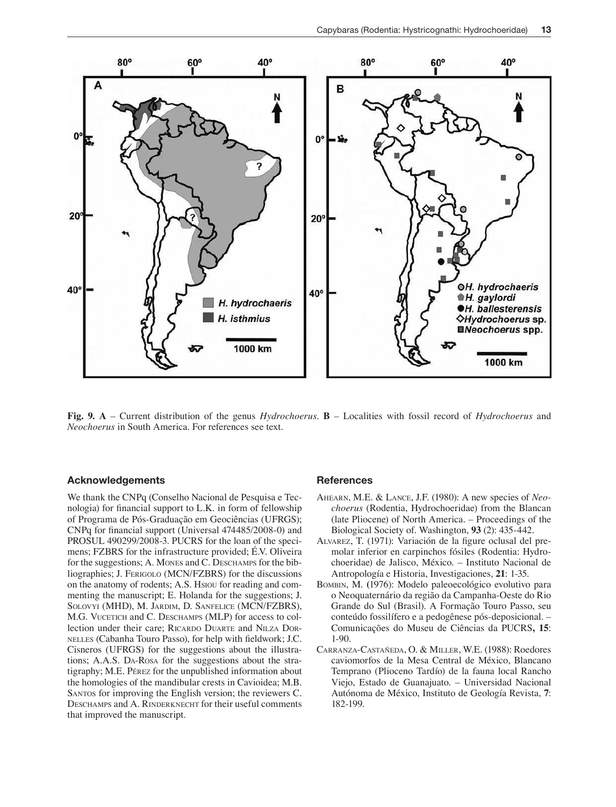

**Fig. 9. A** – Current distribution of the genus *Hydrochoerus*. **B** – Localities with fossil record of *Hydrochoerus* and *Neochoerus* in South America. For references see text.

#### Acknowledgements

We thank the CNPq (Conselho Nacional de Pesquisa e Tecnologia) for inancial support to L.K. in form of fellowship of Programa de Pós-Graduação em Geociências (UFRGS); CNPq for inancial support (Universal 474485/2008-0) and PROSUL 490299/2008-3. PUCRS for the loan of the specimens; FZBRS for the infrastructure provided; É.V. Oliveira for the suggestions; A. Mones and C. DESCHAMPS for the bibliographies; J. FeriGoLo (MCN/FZBRS) for the discussions on the anatomy of rodents; A.S. Hsiou for reading and commenting the manuscript; E. Holanda for the suggestions; J. SOLOVYI (MHD), M. JARDIM, D. SANFELICE (MCN/FZBRS), M.G. VUCETICH and C. DESCHAMPS (MLP) for access to collection under their care; RICARDO DUARTE and NILZA DORneLLes (Cabanha Touro Passo), for help with ieldwork; J.C. Cisneros (UFRGS) for the suggestions about the illustrations; A.A.S. DA-Rosa for the suggestions about the stratigraphy; M.E. Pérez for the unpublished information about the homologies of the mandibular crests in Cavioidea; M.B. SANTOS for improving the English version; the reviewers C. DESCHAMPS and A. RINDERKNECHT for their useful comments that improved the manuscript.

#### **References**

- AHEARN, M.E. & LANCE, J.F. (1980): A new species of *Neochoerus* (Rodentia, Hydrochoeridae) from the Blancan (late Pliocene) of North America. – Proceedings of the Biological Society of. Washington, **93** (2): 435-442.
- ALVAREZ, T. (1971): Variación de la figure oclusal del premolar inferior en carpinchos fósiles (Rodentia: Hydrochoeridae) de Jalisco, México. – Instituto Nacional de Antropología e Historia, Investigaciones, **21**: 1-35.
- bombin, M. **(**1976): Modelo paleoecológico evolutivo para o Neoquaternário da região da Campanha-Oeste do Rio Grande do Sul (Brasil). A Formação Touro Passo, seu conteúdo fossilífero e a pedogênese pós-deposicional. – Comunicações do Museu de Ciências da PUCRS**, 15**: 1-90.
- carranza-castañeda, o. & miLLer, W.e. (1988): Roedores caviomorfos de la Mesa Central de México, Blancano Temprano (Plioceno Tardío) de la fauna local Rancho Viejo, Estado de Guanajuato. – Universidad Nacional Autónoma de México, Instituto de Geología Revista, **7**: 182-199.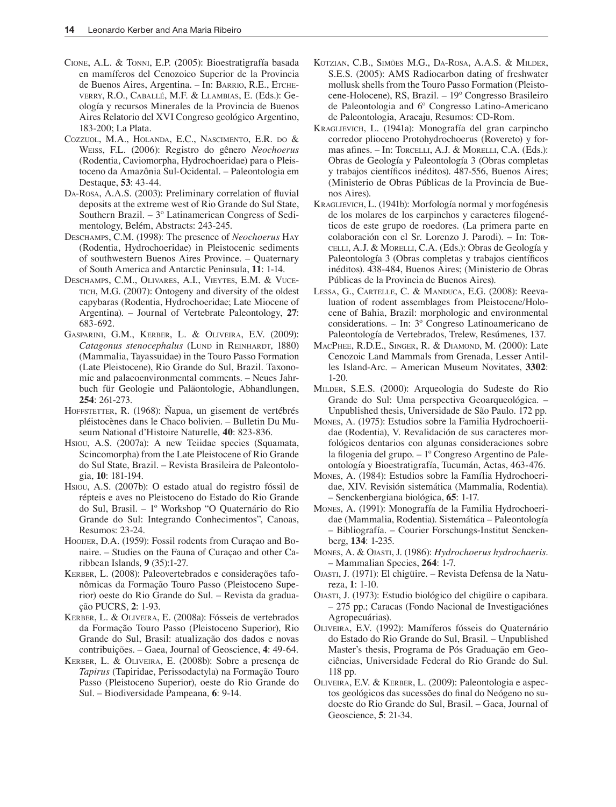- CIONE, A.L. & TONNI, E.P. (2005): Bioestratigrafía basada en mamíferos del Cenozoico Superior de la Provincia de Buenos Aires, Argentina. – In: BARRIO, R.E., ETCHEverry, r.o., cabaLLé, m.F. & LLambias, e. (Eds.): Geología y recursos Minerales de la Provincia de Buenos Aires Relatorio del XVI Congreso geológico Argentino, 183-200; La Plata.
- COZZUOL, M.A., HOLANDA, E.C., NASCIMENTO, E.R. DO & Weiss, F.L. (2006): Registro do gênero *Neochoerus* (Rodentia, Caviomorpha, Hydrochoeridae) para o Pleistoceno da Amazônia Sul-Ocidental. – Paleontologia em Destaque, **53**: 43-44.
- DA-Rosa, A.A.S. (2003): Preliminary correlation of fluvial deposits at the extreme west of Rio Grande do Sul State, Southern Brazil. – 3º Latinamerican Congress of Sedimentology, Belém, Abstracts: 243-245.
- DESCHAMPS, C.M. (1998): The presence of *Neochoerus* Hay (Rodentia, Hydrochoeridae) in Pleistocenic sediments of southwestern Buenos Aires Province. – Quaternary of South America and Antarctic Peninsula, **11**: 1-14.
- DESCHAMPS, C.M., OLIVARES, A.I., VIEYTES, E.M. & VUCE-TICH, M.G. (2007): Ontogeny and diversity of the oldest capybaras (Rodentia, Hydrochoeridae; Late Miocene of Argentina). – Journal of Vertebrate Paleontology, **27**: 683-692.
- GASPARINI, G.M., KERBER, L. & OLIVEIRA, E.V. (2009): *Catagonus stenocephalus* (LUND in REINHARDT, 1880) (Mammalia, Tayassuidae) in the Touro Passo Formation (Late Pleistocene), Rio Grande do Sul, Brazil. Taxonomic and palaeoenvironmental comments. – Neues Jahrbuch für Geologie und Paläontologie, Abhandlungen, **254**: 261-273.
- HOFFSTETTER, R. (1968): Ñapua, un gisement de vertébrés pléistocènes dans le Chaco bolivien. – Bulletin Du Museum National d'Histoire Naturelle*,* **40**: 823-836.
- Hsiou, A.S. (2007a): A new Teiidae species (Squamata, Scincomorpha) from the Late Pleistocene of Rio Grande do Sul State, Brazil. – Revista Brasileira de Paleontologia, **10**: 181-194.
- Hsiou, A.S. (2007b): O estado atual do registro fóssil de répteis e aves no Pleistoceno do Estado do Rio Grande do Sul, Brasil. – 1º Workshop "O Quaternário do Rio Grande do Sul: Integrando Conhecimentos", Canoas, Resumos: 23-24.
- HOOIJER, D.A. (1959): Fossil rodents from Curaçao and Bonaire. – Studies on the Fauna of Curaçao and other Caribbean Islands*,* **9** (35):1-27.
- Kerber, L. (2008): Paleovertebrados e considerações tafonômicas da Formação Touro Passo (Pleistoceno Superior) oeste do Rio Grande do Sul. – Revista da graduação PUCRS, **2**: 1-93.
- KERBER, L. & OLIVEIRA, E. (2008a): Fósseis de vertebrados da Formação Touro Passo (Pleistoceno Superior), Rio Grande do Sul, Brasil: atualização dos dados e novas contribuições. – Gaea, Journal of Geoscience, **4**: 49-64.
- KERBER, L. & OLIVEIRA, E. (2008b): Sobre a presença de *Tapirus* (Tapiridae, Perissodactyla) na Formação Touro Passo (Pleistoceno Superior), oeste do Rio Grande do Sul. – Biodiversidade Pampeana*,* **6**: 9-14.
- KOTZIAN, C.B., SIMÕES M.G., DA-ROSA, A.A.S. & MILDER, s.E.S. (2005): AMS Radiocarbon dating of freshwater mollusk shells from the Touro Passo Formation (Pleistocene-Holocene), RS, Brazil. *–* 19º Congresso Brasileiro de Paleontologia and 6º Congresso Latino-Americano de Paleontologia, Aracaju, Resumos: CD-Rom.
- KraGLievicH, L. (1941a): Monografía del gran carpincho corredor plioceno Protohydrochoerus (Rovereto) y formas afines. - In: TORCELLI, A.J. & MORELLI, C.A. (Eds.): Obras de Geología y Paleontología 3 (Obras completas y trabajos científicos inéditos). 487-556, Buenos Aires; (Ministerio de Obras Públicas de la Provincia de Buenos Aires).
- KraGLievicH, L. (1941b): Morfología normal y morfogénesis de los molares de los carpinchos y caracteres ilogenéticos de este grupo de roedores. (La primera parte en colaboración con el Sr. Lorenzo J. Parodi). - In: TorceLLi, a.j. & moreLLi, C.A. (Eds.): Obras de Geología y Paleontología 3 (Obras completas y trabajos científicos inéditos). 438-484, Buenos Aires; (Ministerio de Obras Públicas de la Provincia de Buenos Aires).
- LESSA, G., CARTELLE, C. & MANDUCA, E.G. (2008): Reevaluation of rodent assemblages from Pleistocene/Holocene of Bahia, Brazil: morphologic and environmental considerations. – In: 3º Congreso Latinoamericano de Paleontología de Vertebrados, Trelew, Resúmenes*,* 137.
- MACPHEE, R.D.E., SINGER, R. & DIAMOND, M. (2000): Late Cenozoic Land Mammals from Grenada, Lesser Antilles Island-Arc. – American Museum Novitates, **3302**: 1-20.
- miLder, s.E.S. (2000): Arqueologia do Sudeste do Rio Grande do Sul: Uma perspectiva Geoarqueológica. – Unpublished thesis, Universidade de São Paulo. 172 pp.
- mones, A. (1975): Estudios sobre la Familia Hydrochoeriidae (Rodentia), V. Revalidación de sus caracteres morfológicos dentarios con algunas consideraciones sobre la filogenia del grupo. – 1º Congreso Argentino de Paleontología y Bioestratigrafía, Tucumán, Actas, 463-476.
- mones, A. (1984): Estudios sobre la Família Hydrochoeridae, XIV. Revisión sistemática (Mammalia, Rodentia)*. –* Senckenbergiana biológica, **65**: 1-17.
- mones, A. (1991): Monografía de la Familia Hydrochoeridae (Mammalia, Rodentia). Sistemática – Paleontología – Bibliografía. – Courier Forschungs-Institut Senckenberg, **134**: 1-235.
- mones, a. & ojasti, J. (1986): *Hydrochoerus hydrochaeris*. – Mammalian Species, **264**: 1-7.
- ojasti, j. (1971): El chigüire. Revista Defensa de la Natureza, **1**: 1-10.
- ojasti, j. (1973): Estudio biológico del chigüire o capibara. – 275 pp.; Caracas (Fondo Nacional de Investigaciónes Agropecuárias).
- oLiveira, E.V. (1992): Mamíferos fósseis do Quaternário do Estado do Rio Grande do Sul, Brasil. – Unpublished Master's thesis, Programa de Pós Graduação em Geociências, Universidade Federal do Rio Grande do Sul. 118 pp.
- oLiveira, e.v. & Kerber, L. (2009): Paleontologia e aspectos geológicos das sucessões do inal do Neógeno no sudoeste do Rio Grande do Sul, Brasil. – Gaea, Journal of Geoscience, **5**: 21-34.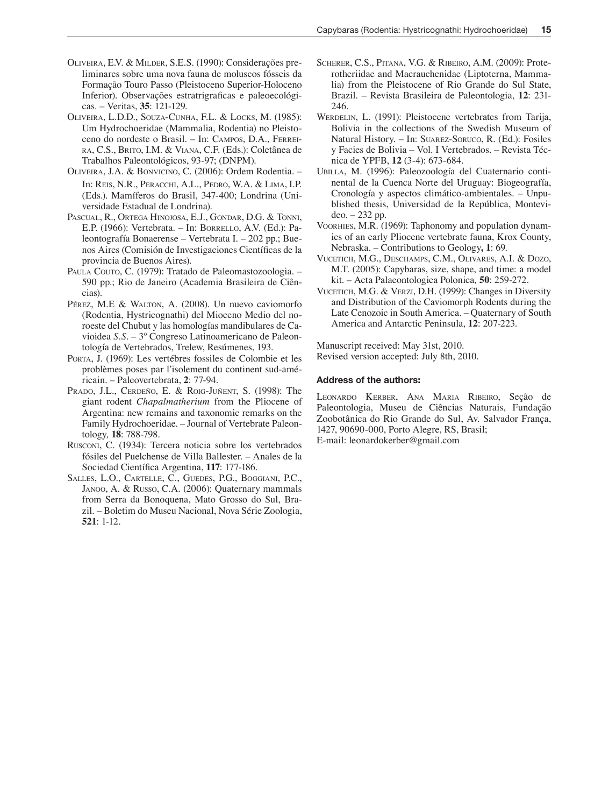- oLiveira, e.v. & miLder, S.E.S. (1990): Considerações preliminares sobre uma nova fauna de moluscos fósseis da Formação Touro Passo (Pleistoceno Superior-Holoceno Inferior). Observações estratrigraficas e paleoecológicas. – Veritas, **35**: 121-129.
- OLIVEIRA, L.D.D., SOUZA-CUNHA, F.L. & LOCKS, M. (1985): Um Hydrochoeridae (Mammalia, Rodentia) no Pleistoceno do nordeste o Brasil. – In: CAMPOS, D.A., FERREIra, c.s., brito, i.m. & viana, C.F. (Eds.): Coletânea de Trabalhos Paleontológicos, 93-97; (DNPM).
- OLIVEIRA, J.A. & BONVICINO, C. (2006): Ordem Rodentia. -In: Reis, N.R., Peracchi, A.L., Pedro, W.A. & Lima, I.P. (Eds.). Mamíferos do Brasil, 347-400; Londrina (Universidade Estadual de Londrina).
- PASCUAL, R., ORTEGA HINOJOSA, E.J., GONDAR, D.G. & TONNI, E.P. (1966): Vertebrata. – In: borreLLo, A.V. (Ed.): Paleontografía Bonaerense – Vertebrata I. – 202 pp.; Buenos Aires (Comisión de Investigaciones Científicas de la provincia de Buenos Aires).
- PAULA COUTO, C. (1979): Tratado de Paleomastozoologia. -590 pp.; Rio de Janeiro (Academia Brasileira de Ciências).
- Pérez, M.E & WALTON, A. (2008). Un nuevo caviomorfo (Rodentia, Hystricognathi) del Mioceno Medio del noroeste del Chubut y las homologías mandibulares de Cavioidea *S.S*. – 3º Congreso Latinoamericano de Paleontología de Vertebrados, Trelew, Resúmenes, 193.
- PORTA, J. (1969): Les vertébres fossiles de Colombie et les problèmes poses par l'isolement du continent sud-américain. – Paleovertebrata, **2**: 77-94.
- PRADO, J.L., CERDEÑO, E. & ROIG-JUÑENT, S. (1998): The giant rodent *Chapalmatherium* from the Pliocene of Argentina: new remains and taxonomic remarks on the Family Hydrochoeridae. – Journal of Vertebrate Paleontology*,* **18**: 788-798.
- RUSCONI, C. (1934): Tercera noticia sobre los vertebrados fósiles del Puelchense de Villa Ballester. – Anales de la Sociedad Cientíica Argentina, **117**: 177-186.
- SALLES, L.O., CARTELLE, C., GUEDES, P.G., BOGGIANI, P.C., JANOO, A. & RUSSO, C.A. (2006): Quaternary mammals from Serra da Bonoquena, Mato Grosso do Sul, Brazil. – Boletim do Museu Nacional, Nova Série Zoologia, **521**: 1-12.
- SCHERER, C.S., PITANA, V.G. & RIBEIRO, A.M. (2009): Proterotheriidae and Macrauchenidae (Liptoterna, Mammalia) from the Pleistocene of Rio Grande do Sul State, Brazil. – Revista Brasileira de Paleontologia, **12**: 231- 246.
- WERDELIN, L. (1991): Pleistocene vertebrates from Tarija, Bolivia in the collections of the Swedish Museum of Natural History. - In: SUAREZ-SORUCO, R. (Ed.): Fosiles y Facies de Bolivia – Vol. I Vertebrados. – Revista Técnica de YPFB, **12** (3-4): 673-684.
- UBILLA, M. (1996): Paleozoología del Cuaternario continental de la Cuenca Norte del Uruguay: Biogeografía, Cronología y aspectos climático-ambientales. – Unpublished thesis, Universidad de la República, Montevideo. – 232 pp.
- VOORHIES, M.R. (1969): Taphonomy and population dynamics of an early Pliocene vertebrate fauna, Krox County, Nebraska. – Contributions to Geology**, 1**: 69.
- VUCETICH, M.G., DESCHAMPS, C.M., OLIVARES, A.I. & DOZO, M.T. (2005): Capybaras, size, shape, and time: a model kit. – Acta Palaeontologica Polonica*,* **50**: 259-272.
- VUCETICH, M.G. & VERZI, D.H. (1999): Changes in Diversity and Distribution of the Caviomorph Rodents during the Late Cenozoic in South America. – Quaternary of South America and Antarctic Peninsula, **12**: 207-223.

Manuscript received: May 31st, 2010.

Revised version accepted: July 8th, 2010.

#### Address of the authors:

LEONARDO KERBER, ANA MARIA RIBEIRO, Seção de Paleontologia, Museu de Ciências Naturais, Fundação Zoobotânica do Rio Grande do Sul, Av. Salvador França, 1427, 90690-000, Porto Alegre, RS, Brasil;

E-mail: leonardokerber@gmail.com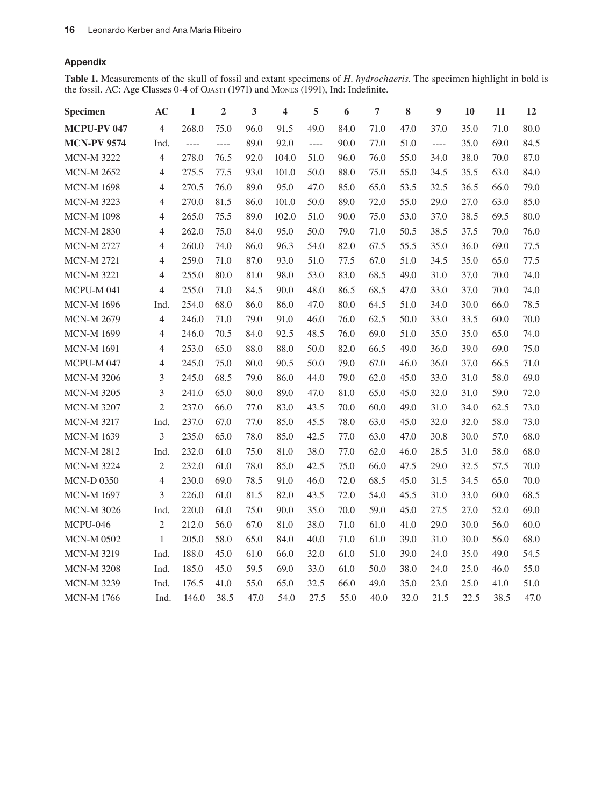# Appendix

**Table 1.** Measurements of the skull of fossil and extant specimens of *H. hydrochaeris*. The specimen highlight in bold is the fossil. AC: Age Classes 0-4 of OJASTI (1971) and Mones (1991), Ind: Indefinite.

| Specimen           | AC             | $\mathbf{1}$  | $\overline{2}$ | 3    | $\overline{\mathbf{4}}$ | 5                                                                                                                                                                                                                                                                                                                                                                                                                                                                          | 6    | 7    | 8    | 9        | 10   | 11   | 12   |
|--------------------|----------------|---------------|----------------|------|-------------------------|----------------------------------------------------------------------------------------------------------------------------------------------------------------------------------------------------------------------------------------------------------------------------------------------------------------------------------------------------------------------------------------------------------------------------------------------------------------------------|------|------|------|----------|------|------|------|
| MCPU-PV 047        | $\overline{4}$ | 268.0         | 75.0           | 96.0 | 91.5                    | 49.0                                                                                                                                                                                                                                                                                                                                                                                                                                                                       | 84.0 | 71.0 | 47.0 | 37.0     | 35.0 | 71.0 | 80.0 |
| <b>MCN-PV 9574</b> | Ind.           | $\frac{1}{2}$ | $\cdots$       | 89.0 | 92.0                    | $\frac{1}{2} \left( \frac{1}{2} \right) \left( \frac{1}{2} \right) \left( \frac{1}{2} \right) \left( \frac{1}{2} \right) \left( \frac{1}{2} \right) \left( \frac{1}{2} \right) \left( \frac{1}{2} \right) \left( \frac{1}{2} \right) \left( \frac{1}{2} \right) \left( \frac{1}{2} \right) \left( \frac{1}{2} \right) \left( \frac{1}{2} \right) \left( \frac{1}{2} \right) \left( \frac{1}{2} \right) \left( \frac{1}{2} \right) \left( \frac{1}{2} \right) \left( \frac$ | 90.0 | 77.0 | 51.0 | $\cdots$ | 35.0 | 69.0 | 84.5 |
| <b>MCN-M 3222</b>  | $\overline{4}$ | 278.0         | 76.5           | 92.0 | 104.0                   | 51.0                                                                                                                                                                                                                                                                                                                                                                                                                                                                       | 96.0 | 76.0 | 55.0 | 34.0     | 38.0 | 70.0 | 87.0 |
| <b>MCN-M 2652</b>  | 4              | 275.5         | 77.5           | 93.0 | 101.0                   | 50.0                                                                                                                                                                                                                                                                                                                                                                                                                                                                       | 88.0 | 75.0 | 55.0 | 34.5     | 35.5 | 63.0 | 84.0 |
| <b>MCN-M 1698</b>  | $\overline{4}$ | 270.5         | 76.0           | 89.0 | 95.0                    | 47.0                                                                                                                                                                                                                                                                                                                                                                                                                                                                       | 85.0 | 65.0 | 53.5 | 32.5     | 36.5 | 66.0 | 79.0 |
| <b>MCN-M 3223</b>  | 4              | 270.0         | 81.5           | 86.0 | 101.0                   | 50.0                                                                                                                                                                                                                                                                                                                                                                                                                                                                       | 89.0 | 72.0 | 55.0 | 29.0     | 27.0 | 63.0 | 85.0 |
| <b>MCN-M 1098</b>  | $\overline{4}$ | 265.0         | 75.5           | 89.0 | 102.0                   | 51.0                                                                                                                                                                                                                                                                                                                                                                                                                                                                       | 90.0 | 75.0 | 53.0 | 37.0     | 38.5 | 69.5 | 80.0 |
| <b>MCN-M 2830</b>  | 4              | 262.0         | 75.0           | 84.0 | 95.0                    | 50.0                                                                                                                                                                                                                                                                                                                                                                                                                                                                       | 79.0 | 71.0 | 50.5 | 38.5     | 37.5 | 70.0 | 76.0 |
| <b>MCN-M 2727</b>  | 4              | 260.0         | 74.0           | 86.0 | 96.3                    | 54.0                                                                                                                                                                                                                                                                                                                                                                                                                                                                       | 82.0 | 67.5 | 55.5 | 35.0     | 36.0 | 69.0 | 77.5 |
| <b>MCN-M 2721</b>  | 4              | 259.0         | 71.0           | 87.0 | 93.0                    | 51.0                                                                                                                                                                                                                                                                                                                                                                                                                                                                       | 77.5 | 67.0 | 51.0 | 34.5     | 35.0 | 65.0 | 77.5 |
| <b>MCN-M 3221</b>  | 4              | 255.0         | 80.0           | 81.0 | 98.0                    | 53.0                                                                                                                                                                                                                                                                                                                                                                                                                                                                       | 83.0 | 68.5 | 49.0 | 31.0     | 37.0 | 70.0 | 74.0 |
| MCPU-M 041         | $\overline{4}$ | 255.0         | 71.0           | 84.5 | 90.0                    | 48.0                                                                                                                                                                                                                                                                                                                                                                                                                                                                       | 86.5 | 68.5 | 47.0 | 33.0     | 37.0 | 70.0 | 74.0 |
| <b>MCN-M 1696</b>  | Ind.           | 254.0         | 68.0           | 86.0 | 86.0                    | 47.0                                                                                                                                                                                                                                                                                                                                                                                                                                                                       | 80.0 | 64.5 | 51.0 | 34.0     | 30.0 | 66.0 | 78.5 |
| <b>MCN-M 2679</b>  | $\overline{4}$ | 246.0         | 71.0           | 79.0 | 91.0                    | 46.0                                                                                                                                                                                                                                                                                                                                                                                                                                                                       | 76.0 | 62.5 | 50.0 | 33.0     | 33.5 | 60.0 | 70.0 |
| <b>MCN-M 1699</b>  | 4              | 246.0         | 70.5           | 84.0 | 92.5                    | 48.5                                                                                                                                                                                                                                                                                                                                                                                                                                                                       | 76.0 | 69.0 | 51.0 | 35.0     | 35.0 | 65.0 | 74.0 |
| <b>MCN-M 1691</b>  | $\overline{4}$ | 253.0         | 65.0           | 88.0 | 88.0                    | 50.0                                                                                                                                                                                                                                                                                                                                                                                                                                                                       | 82.0 | 66.5 | 49.0 | 36.0     | 39.0 | 69.0 | 75.0 |
| MCPU-M047          | $\overline{4}$ | 245.0         | 75.0           | 80.0 | 90.5                    | 50.0                                                                                                                                                                                                                                                                                                                                                                                                                                                                       | 79.0 | 67.0 | 46.0 | 36.0     | 37.0 | 66.5 | 71.0 |
| <b>MCN-M 3206</b>  | 3              | 245.0         | 68.5           | 79.0 | 86.0                    | 44.0                                                                                                                                                                                                                                                                                                                                                                                                                                                                       | 79.0 | 62.0 | 45.0 | 33.0     | 31.0 | 58.0 | 69.0 |
| <b>MCN-M 3205</b>  | 3              | 241.0         | 65.0           | 80.0 | 89.0                    | 47.0                                                                                                                                                                                                                                                                                                                                                                                                                                                                       | 81.0 | 65.0 | 45.0 | 32.0     | 31.0 | 59.0 | 72.0 |
| <b>MCN-M 3207</b>  | $\overline{c}$ | 237.0         | 66.0           | 77.0 | 83.0                    | 43.5                                                                                                                                                                                                                                                                                                                                                                                                                                                                       | 70.0 | 60.0 | 49.0 | 31.0     | 34.0 | 62.5 | 73.0 |
| <b>MCN-M 3217</b>  | Ind.           | 237.0         | 67.0           | 77.0 | 85.0                    | 45.5                                                                                                                                                                                                                                                                                                                                                                                                                                                                       | 78.0 | 63.0 | 45.0 | 32.0     | 32.0 | 58.0 | 73.0 |
| <b>MCN-M 1639</b>  | 3              | 235.0         | 65.0           | 78.0 | 85.0                    | 42.5                                                                                                                                                                                                                                                                                                                                                                                                                                                                       | 77.0 | 63.0 | 47.0 | 30.8     | 30.0 | 57.0 | 68.0 |
| <b>MCN-M 2812</b>  | Ind.           | 232.0         | 61.0           | 75.0 | 81.0                    | 38.0                                                                                                                                                                                                                                                                                                                                                                                                                                                                       | 77.0 | 62.0 | 46.0 | 28.5     | 31.0 | 58.0 | 68.0 |
| <b>MCN-M 3224</b>  | $\mathfrak{2}$ | 232.0         | 61.0           | 78.0 | 85.0                    | 42.5                                                                                                                                                                                                                                                                                                                                                                                                                                                                       | 75.0 | 66.0 | 47.5 | 29.0     | 32.5 | 57.5 | 70.0 |
| <b>MCN-D 0350</b>  | $\overline{4}$ | 230.0         | 69.0           | 78.5 | 91.0                    | 46.0                                                                                                                                                                                                                                                                                                                                                                                                                                                                       | 72.0 | 68.5 | 45.0 | 31.5     | 34.5 | 65.0 | 70.0 |
| <b>MCN-M 1697</b>  | 3              | 226.0         | 61.0           | 81.5 | 82.0                    | 43.5                                                                                                                                                                                                                                                                                                                                                                                                                                                                       | 72.0 | 54.0 | 45.5 | 31.0     | 33.0 | 60.0 | 68.5 |
| <b>MCN-M 3026</b>  | Ind.           | 220.0         | 61.0           | 75.0 | 90.0                    | 35.0                                                                                                                                                                                                                                                                                                                                                                                                                                                                       | 70.0 | 59.0 | 45.0 | 27.5     | 27.0 | 52.0 | 69.0 |
| MCPU-046           | $\overline{2}$ | 212.0         | 56.0           | 67.0 | 81.0                    | 38.0                                                                                                                                                                                                                                                                                                                                                                                                                                                                       | 71.0 | 61.0 | 41.0 | 29.0     | 30.0 | 56.0 | 60.0 |
| <b>MCN-M 0502</b>  | $\mathbf{1}$   | 205.0         | 58.0           | 65.0 | 84.0                    | 40.0                                                                                                                                                                                                                                                                                                                                                                                                                                                                       | 71.0 | 61.0 | 39.0 | 31.0     | 30.0 | 56.0 | 68.0 |
| <b>MCN-M 3219</b>  | Ind.           | 188.0         | 45.0           | 61.0 | 66.0                    | 32.0                                                                                                                                                                                                                                                                                                                                                                                                                                                                       | 61.0 | 51.0 | 39.0 | 24.0     | 35.0 | 49.0 | 54.5 |
| <b>MCN-M 3208</b>  | Ind.           | 185.0         | 45.0           | 59.5 | 69.0                    | 33.0                                                                                                                                                                                                                                                                                                                                                                                                                                                                       | 61.0 | 50.0 | 38.0 | 24.0     | 25.0 | 46.0 | 55.0 |
| <b>MCN-M 3239</b>  | Ind.           | 176.5         | 41.0           | 55.0 | 65.0                    | 32.5                                                                                                                                                                                                                                                                                                                                                                                                                                                                       | 66.0 | 49.0 | 35.0 | 23.0     | 25.0 | 41.0 | 51.0 |
| <b>MCN-M 1766</b>  | Ind.           | 146.0         | 38.5           | 47.0 | 54.0                    | 27.5                                                                                                                                                                                                                                                                                                                                                                                                                                                                       | 55.0 | 40.0 | 32.0 | 21.5     | 22.5 | 38.5 | 47.0 |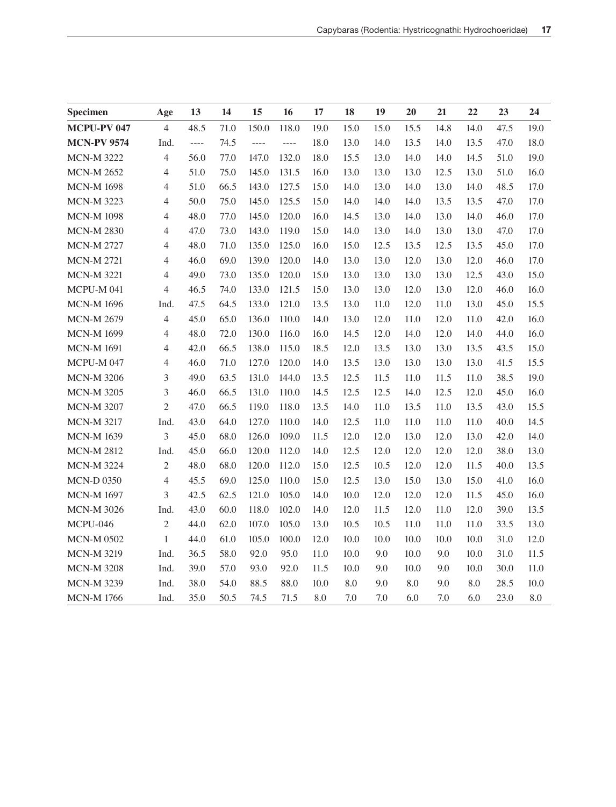| Specimen           | Age            | 13       | 14   | 15    | 16       | 17   | 18        | 19   | 20   | 21   | 22   | 23   | 24        |
|--------------------|----------------|----------|------|-------|----------|------|-----------|------|------|------|------|------|-----------|
| <b>MCPU-PV 047</b> | $\overline{4}$ | 48.5     | 71.0 | 150.0 | 118.0    | 19.0 | 15.0      | 15.0 | 15.5 | 14.8 | 14.0 | 47.5 | 19.0      |
| <b>MCN-PV 9574</b> | Ind.           | $\cdots$ | 74.5 | $---$ | $\cdots$ | 18.0 | 13.0      | 14.0 | 13.5 | 14.0 | 13.5 | 47.0 | 18.0      |
| <b>MCN-M 3222</b>  | $\overline{4}$ | 56.0     | 77.0 | 147.0 | 132.0    | 18.0 | 15.5      | 13.0 | 14.0 | 14.0 | 14.5 | 51.0 | 19.0      |
| <b>MCN-M 2652</b>  | $\overline{4}$ | 51.0     | 75.0 | 145.0 | 131.5    | 16.0 | 13.0      | 13.0 | 13.0 | 12.5 | 13.0 | 51.0 | 16.0      |
| <b>MCN-M 1698</b>  | $\overline{4}$ | 51.0     | 66.5 | 143.0 | 127.5    | 15.0 | 14.0      | 13.0 | 14.0 | 13.0 | 14.0 | 48.5 | 17.0      |
| <b>MCN-M 3223</b>  | $\overline{4}$ | 50.0     | 75.0 | 145.0 | 125.5    | 15.0 | 14.0      | 14.0 | 14.0 | 13.5 | 13.5 | 47.0 | 17.0      |
| <b>MCN-M 1098</b>  | $\overline{4}$ | 48.0     | 77.0 | 145.0 | 120.0    | 16.0 | 14.5      | 13.0 | 14.0 | 13.0 | 14.0 | 46.0 | 17.0      |
| <b>MCN-M 2830</b>  | $\overline{4}$ | 47.0     | 73.0 | 143.0 | 119.0    | 15.0 | 14.0      | 13.0 | 14.0 | 13.0 | 13.0 | 47.0 | 17.0      |
| <b>MCN-M 2727</b>  | 4              | 48.0     | 71.0 | 135.0 | 125.0    | 16.0 | 15.0      | 12.5 | 13.5 | 12.5 | 13.5 | 45.0 | 17.0      |
| <b>MCN-M 2721</b>  | $\overline{4}$ | 46.0     | 69.0 | 139.0 | 120.0    | 14.0 | 13.0      | 13.0 | 12.0 | 13.0 | 12.0 | 46.0 | 17.0      |
| <b>MCN-M 3221</b>  | $\overline{4}$ | 49.0     | 73.0 | 135.0 | 120.0    | 15.0 | 13.0      | 13.0 | 13.0 | 13.0 | 12.5 | 43.0 | 15.0      |
| MCPU-M 041         | $\overline{4}$ | 46.5     | 74.0 | 133.0 | 121.5    | 15.0 | 13.0      | 13.0 | 12.0 | 13.0 | 12.0 | 46.0 | 16.0      |
| <b>MCN-M 1696</b>  | Ind.           | 47.5     | 64.5 | 133.0 | 121.0    | 13.5 | 13.0      | 11.0 | 12.0 | 11.0 | 13.0 | 45.0 | 15.5      |
| <b>MCN-M 2679</b>  | 4              | 45.0     | 65.0 | 136.0 | 110.0    | 14.0 | 13.0      | 12.0 | 11.0 | 12.0 | 11.0 | 42.0 | 16.0      |
| <b>MCN-M 1699</b>  | $\overline{4}$ | 48.0     | 72.0 | 130.0 | 116.0    | 16.0 | 14.5      | 12.0 | 14.0 | 12.0 | 14.0 | 44.0 | 16.0      |
| <b>MCN-M 1691</b>  | $\overline{4}$ | 42.0     | 66.5 | 138.0 | 115.0    | 18.5 | 12.0      | 13.5 | 13.0 | 13.0 | 13.5 | 43.5 | 15.0      |
| MCPU-M047          | $\overline{4}$ | 46.0     | 71.0 | 127.0 | 120.0    | 14.0 | 13.5      | 13.0 | 13.0 | 13.0 | 13.0 | 41.5 | 15.5      |
| <b>MCN-M 3206</b>  | 3              | 49.0     | 63.5 | 131.0 | 144.0    | 13.5 | 12.5      | 11.5 | 11.0 | 11.5 | 11.0 | 38.5 | 19.0      |
| <b>MCN-M 3205</b>  | 3              | 46.0     | 66.5 | 131.0 | 110.0    | 14.5 | 12.5      | 12.5 | 14.0 | 12.5 | 12.0 | 45.0 | 16.0      |
| <b>MCN-M 3207</b>  | $\mathfrak{2}$ | 47.0     | 66.5 | 119.0 | 118.0    | 13.5 | 14.0      | 11.0 | 13.5 | 11.0 | 13.5 | 43.0 | 15.5      |
| <b>MCN-M 3217</b>  | Ind.           | 43.0     | 64.0 | 127.0 | 110.0    | 14.0 | 12.5      | 11.0 | 11.0 | 11.0 | 11.0 | 40.0 | 14.5      |
| <b>MCN-M 1639</b>  | $\mathfrak{Z}$ | 45.0     | 68.0 | 126.0 | 109.0    | 11.5 | 12.0      | 12.0 | 13.0 | 12.0 | 13.0 | 42.0 | 14.0      |
| <b>MCN-M 2812</b>  | Ind.           | 45.0     | 66.0 | 120.0 | 112.0    | 14.0 | 12.5      | 12.0 | 12.0 | 12.0 | 12.0 | 38.0 | 13.0      |
| <b>MCN-M 3224</b>  | $\mathfrak{2}$ | 48.0     | 68.0 | 120.0 | 112.0    | 15.0 | 12.5      | 10.5 | 12.0 | 12.0 | 11.5 | 40.0 | 13.5      |
| <b>MCN-D 0350</b>  | 4              | 45.5     | 69.0 | 125.0 | 110.0    | 15.0 | 12.5      | 13.0 | 15.0 | 13.0 | 15.0 | 41.0 | 16.0      |
| <b>MCN-M 1697</b>  | 3              | 42.5     | 62.5 | 121.0 | 105.0    | 14.0 | 10.0      | 12.0 | 12.0 | 12.0 | 11.5 | 45.0 | 16.0      |
| <b>MCN-M 3026</b>  | Ind.           | 43.0     | 60.0 | 118.0 | 102.0    | 14.0 | 12.0      | 11.5 | 12.0 | 11.0 | 12.0 | 39.0 | 13.5      |
| MCPU-046           | $\overline{2}$ | 44.0     | 62.0 | 107.0 | 105.0    | 13.0 | 10.5      | 10.5 | 11.0 | 11.0 | 11.0 | 33.5 | 13.0      |
| <b>MCN-M 0502</b>  | $\mathbf{1}$   | 44.0     | 61.0 | 105.0 | 100.0    | 12.0 | 10.0      | 10.0 | 10.0 | 10.0 | 10.0 | 31.0 | 12.0      |
| <b>MCN-M 3219</b>  | Ind.           | 36.5     | 58.0 | 92.0  | 95.0     | 11.0 | 10.0      | 9.0  | 10.0 | 9.0  | 10.0 | 31.0 | 11.5      |
| <b>MCN-M 3208</b>  | Ind.           | 39.0     | 57.0 | 93.0  | 92.0     | 11.5 | 10.0      | 9.0  | 10.0 | 9.0  | 10.0 | 30.0 | 11.0      |
| <b>MCN-M 3239</b>  | Ind.           | 38.0     | 54.0 | 88.5  | 88.0     | 10.0 | $\rm 8.0$ | 9.0  | 8.0  | 9.0  | 8.0  | 28.5 | 10.0      |
| <b>MCN-M 1766</b>  | Ind.           | 35.0     | 50.5 | 74.5  | 71.5     | 8.0  | 7.0       | 7.0  | 6.0  | 7.0  | 6.0  | 23.0 | $\rm 8.0$ |